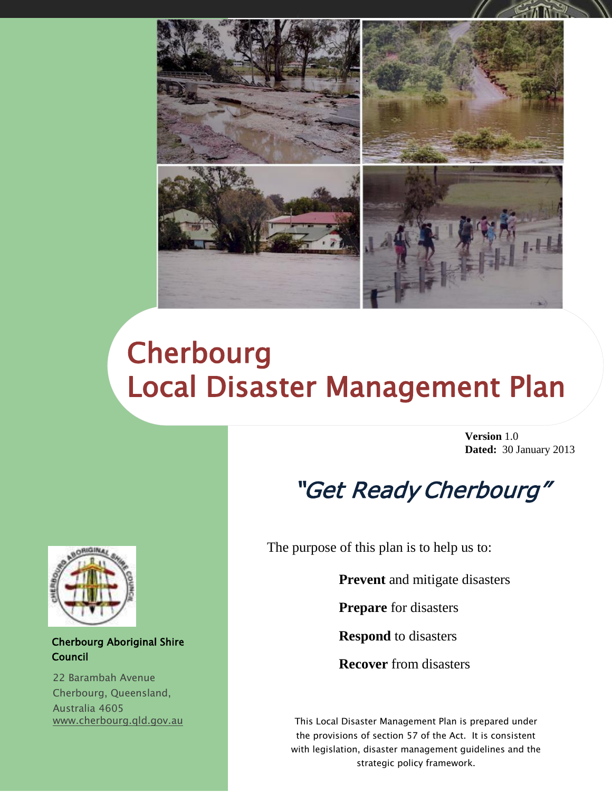

# **Cherbourg** Local Disaster Management Plan

**Version** 1.0 **Dated:** 30 January 2013

## "Get Ready Cherbourg"

The purpose of this plan is to help us to:

**Prevent** and mitigate disasters

**Prepare** for disasters

**Respond** to disasters

**Recover** from disasters

This Local Disaster Management Plan is prepared under the provisions of section 57 of the Act. It is consistent with legislation, disaster management guidelines and the strategic policy framework.



#### Cherbourg Aboriginal Shire Council

22 Barambah Avenue Cherbourg, Queensland, Australia 4605 [www.cherbourg.qld.gov.au](http://www.cherbourg.qld.gov.au/)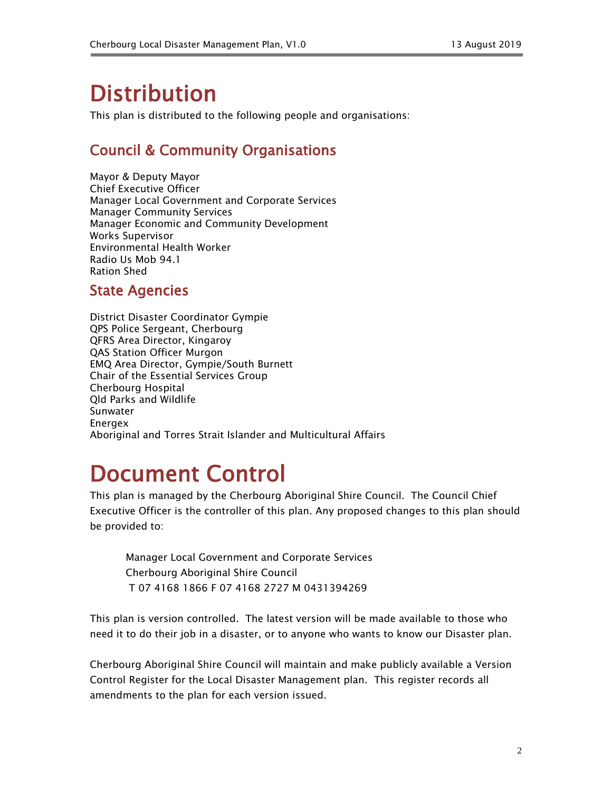## **Distribution**

This plan is distributed to the following people and organisations:

## Council & Community Organisations

Mayor & Deputy Mayor Chief Executive Officer Manager Local Government and Corporate Services Manager Community Services Manager Economic and Community Development Works Supervisor Environmental Health Worker Radio Us Mob 94.1 Ration Shed

## State Agencies

District Disaster Coordinator Gympie QPS Police Sergeant, Cherbourg QFRS Area Director, Kingaroy QAS Station Officer Murgon EMQ Area Director, Gympie/South Burnett Chair of the Essential Services Group Cherbourg Hospital Qld Parks and Wildlife Sunwater Energex Aboriginal and Torres Strait Islander and Multicultural Affairs

## Document Control

This plan is managed by the Cherbourg Aboriginal Shire Council. The Council Chief Executive Officer is the controller of this plan. Any proposed changes to this plan should be provided to:

Manager Local Government and Corporate Services Cherbourg Aboriginal Shire Council T 07 4168 1866 F 07 4168 2727 M 0431394269

This plan is version controlled. The latest version will be made available to those who need it to do their job in a disaster, or to anyone who wants to know our Disaster plan.

Cherbourg Aboriginal Shire Council will maintain and make publicly available a Version Control Register for the Local Disaster Management plan. This register records all amendments to the plan for each version issued.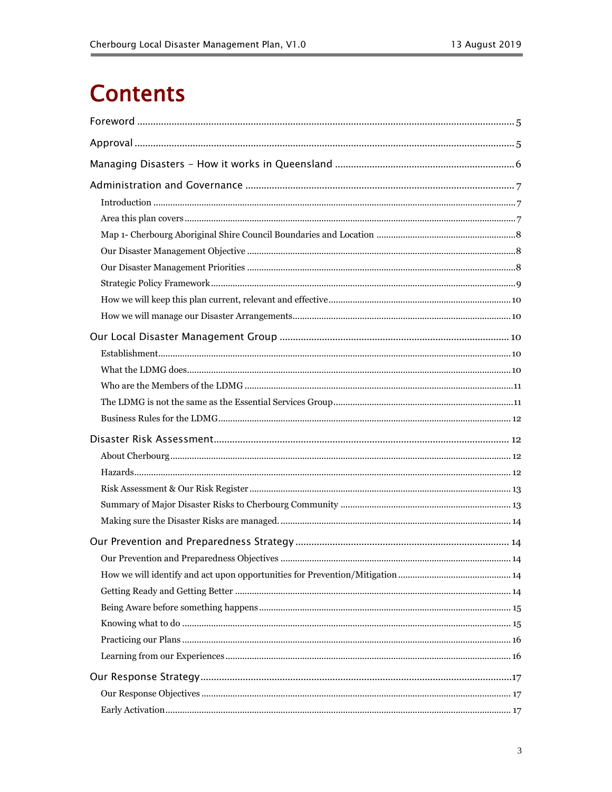## **Contents**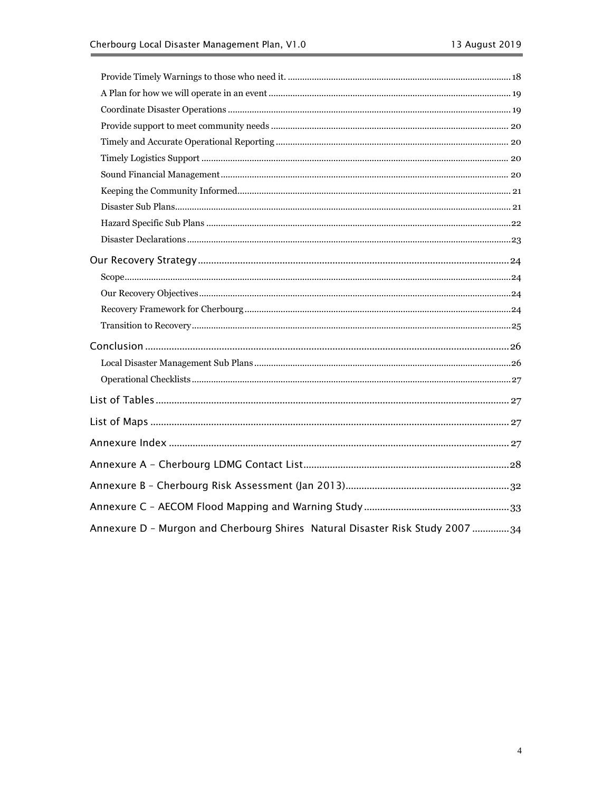| Annexure D - Murgon and Cherbourg Shires Natural Disaster Risk Study 2007 34 |  |
|------------------------------------------------------------------------------|--|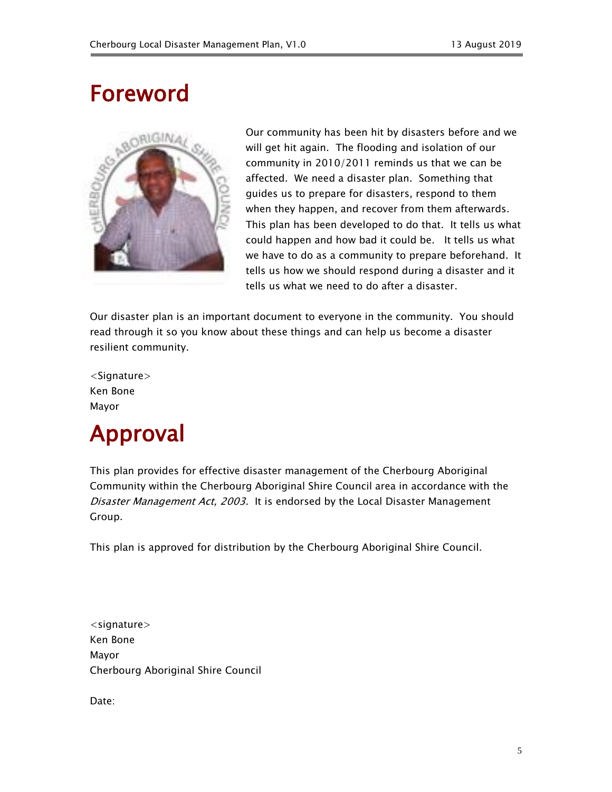## <span id="page-4-0"></span>Foreword



Our community has been hit by disasters before and we will get hit again. The flooding and isolation of our community in 2010/2011 reminds us that we can be affected. We need a disaster plan. Something that guides us to prepare for disasters, respond to them when they happen, and recover from them afterwards. This plan has been developed to do that. It tells us what could happen and how bad it could be. It tells us what we have to do as a community to prepare beforehand. It tells us how we should respond during a disaster and it tells us what we need to do after a disaster.

Our disaster plan is an important document to everyone in the community. You should read through it so you know about these things and can help us become a disaster resilient community.

<Signature> Ken Bone Mayor

## <span id="page-4-1"></span>Approval

This plan provides for effective disaster management of the Cherbourg Aboriginal Community within the Cherbourg Aboriginal Shire Council area in accordance with the Disaster Management Act, 2003. It is endorsed by the Local Disaster Management Group.

This plan is approved for distribution by the Cherbourg Aboriginal Shire Council.

<signature> Ken Bone Mayor Cherbourg Aboriginal Shire Council

Date: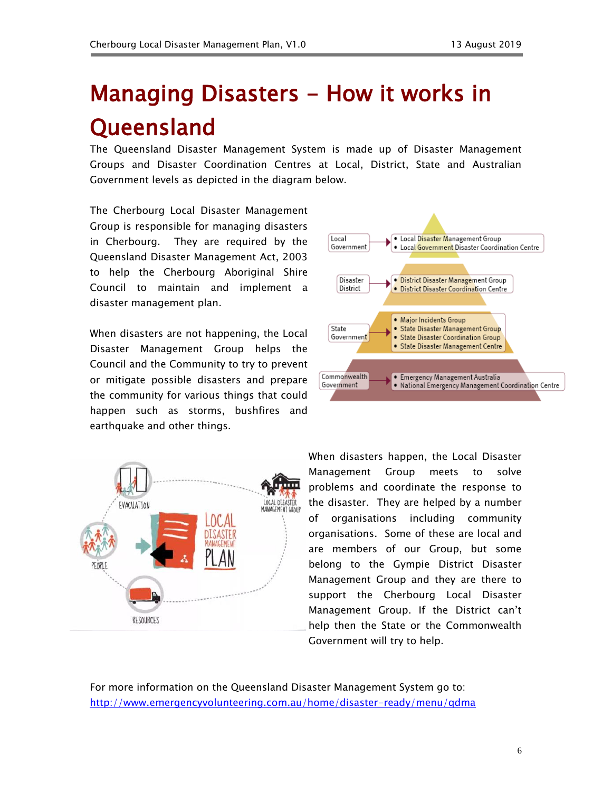## <span id="page-5-0"></span>Managing Disasters - How it works in **Queensland**

The Queensland Disaster Management System is made up of Disaster Management Groups and Disaster Coordination Centres at Local, District, State and Australian Government levels as depicted in the diagram below.

The Cherbourg Local Disaster Management Group is responsible for managing disasters in Cherbourg. They are required by the Queensland Disaster Management Act, 2003 to help the Cherbourg Aboriginal Shire Council to maintain and implement a disaster management plan.

When disasters are not happening, the Local Disaster Management Group helps the Council and the Community to try to prevent or mitigate possible disasters and prepare the community for various things that could happen such as storms, bushfires and earthquake and other things.





When disasters happen, the Local Disaster Management Group meets to solve problems and coordinate the response to the disaster. They are helped by a number of organisations including community organisations. Some of these are local and are members of our Group, but some belong to the Gympie District Disaster Management Group and they are there to support the Cherbourg Local Disaster Management Group. If the District can't help then the State or the Commonwealth Government will try to help.

For more information on the Queensland Disaster Management System go to: <http://www.emergencyvolunteering.com.au/home/disaster-ready/menu/qdma>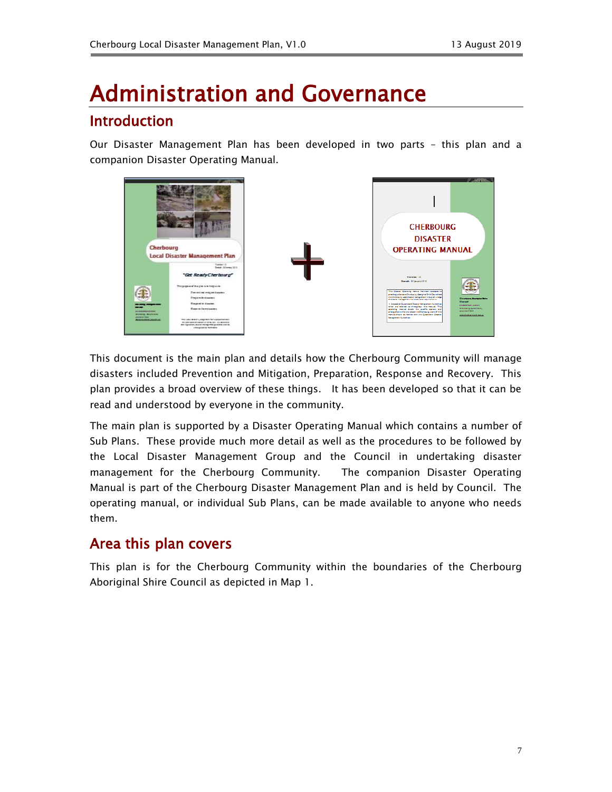## <span id="page-6-1"></span><span id="page-6-0"></span>Administration and Governance Introduction

Our Disaster Management Plan has been developed in two parts – this plan and a companion Disaster Operating Manual.



This document is the main plan and details how the Cherbourg Community will manage disasters included Prevention and Mitigation, Preparation, Response and Recovery. This plan provides a broad overview of these things. It has been developed so that it can be read and understood by everyone in the community.

The main plan is supported by a Disaster Operating Manual which contains a number of Sub Plans. These provide much more detail as well as the procedures to be followed by the Local Disaster Management Group and the Council in undertaking disaster management for the Cherbourg Community. The companion Disaster Operating Manual is part of the Cherbourg Disaster Management Plan and is held by Council. The operating manual, or individual Sub Plans, can be made available to anyone who needs them.

### <span id="page-6-2"></span>Area this plan covers

This plan is for the Cherbourg Community within the boundaries of the Cherbourg Aboriginal Shire Council as depicted in Map 1.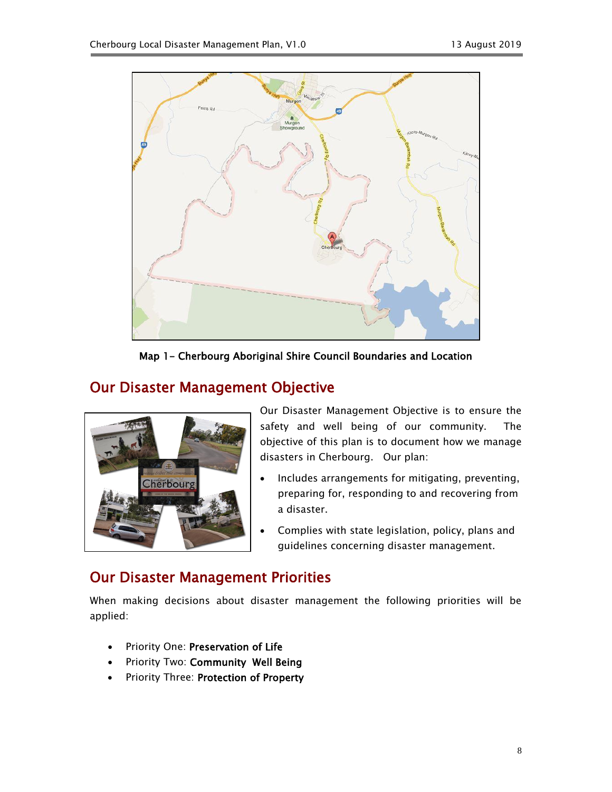

Map 1- Cherbourg Aboriginal Shire Council Boundaries and Location

## <span id="page-7-1"></span><span id="page-7-0"></span>Our Disaster Management Objective



Our Disaster Management Objective is to ensure the safety and well being of our community. The objective of this plan is to document how we manage disasters in Cherbourg. Our plan:

- Includes arrangements for mitigating, preventing, preparing for, responding to and recovering from a disaster.
- Complies with state legislation, policy, plans and guidelines concerning disaster management.

## <span id="page-7-2"></span>Our Disaster Management Priorities

When making decisions about disaster management the following priorities will be applied:

- Priority One: Preservation of Life
- Priority Two: Community Well Being
- Priority Three: Protection of Property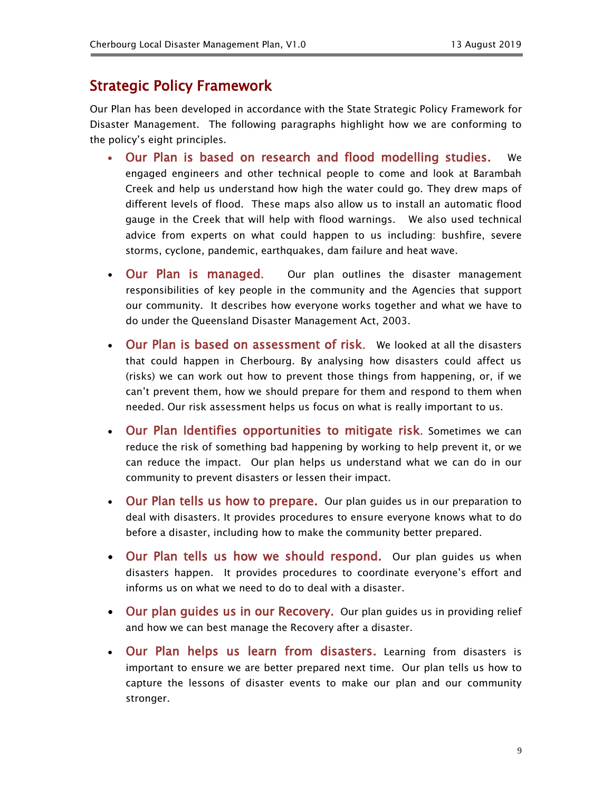### <span id="page-8-0"></span>Strategic Policy Framework

Our Plan has been developed in accordance with the State Strategic Policy Framework for Disaster Management. The following paragraphs highlight how we are conforming to the policy's eight principles.

- Our Plan is based on research and flood modelling studies. We engaged engineers and other technical people to come and look at Barambah Creek and help us understand how high the water could go. They drew maps of different levels of flood. These maps also allow us to install an automatic flood gauge in the Creek that will help with flood warnings. We also used technical advice from experts on what could happen to us including: bushfire, severe storms, cyclone, pandemic, earthquakes, dam failure and heat wave.
- Our Plan is managed. Our plan outlines the disaster management responsibilities of key people in the community and the Agencies that support our community. It describes how everyone works together and what we have to do under the Queensland Disaster Management Act, 2003.
- Our Plan is based on assessment of risk. We looked at all the disasters that could happen in Cherbourg. By analysing how disasters could affect us (risks) we can work out how to prevent those things from happening, or, if we can't prevent them, how we should prepare for them and respond to them when needed. Our risk assessment helps us focus on what is really important to us.
- Our Plan Identifies opportunities to mitigate risk. Sometimes we can reduce the risk of something bad happening by working to help prevent it, or we can reduce the impact. Our plan helps us understand what we can do in our community to prevent disasters or lessen their impact.
- Our Plan tells us how to prepare. Our plan guides us in our preparation to deal with disasters. It provides procedures to ensure everyone knows what to do before a disaster, including how to make the community better prepared.
- Our Plan tells us how we should respond. Our plan quides us when disasters happen. It provides procedures to coordinate everyone's effort and informs us on what we need to do to deal with a disaster.
- Our plan guides us in our Recovery. Our plan guides us in providing relief and how we can best manage the Recovery after a disaster.
- Our Plan helps us learn from disasters. Learning from disasters is important to ensure we are better prepared next time. Our plan tells us how to capture the lessons of disaster events to make our plan and our community stronger.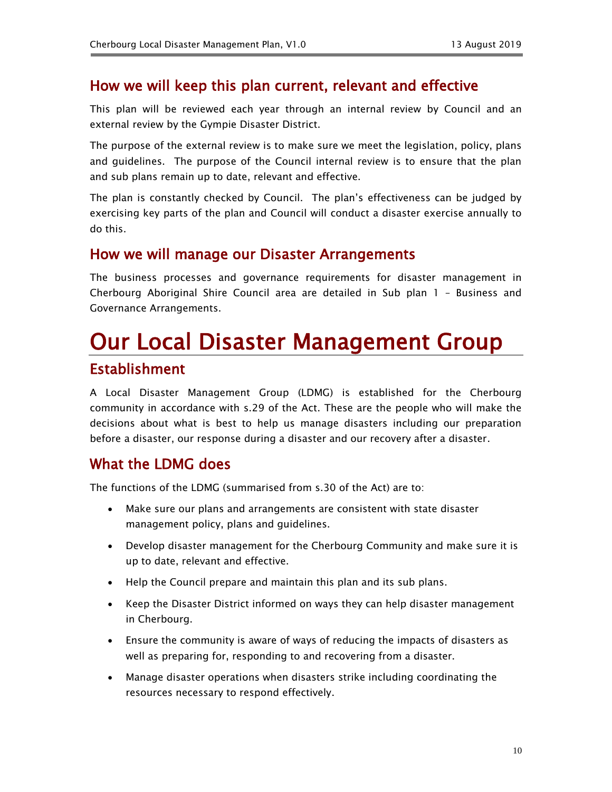### <span id="page-9-0"></span>How we will keep this plan current, relevant and effective

This plan will be reviewed each year through an internal review by Council and an external review by the Gympie Disaster District.

The purpose of the external review is to make sure we meet the legislation, policy, plans and guidelines. The purpose of the Council internal review is to ensure that the plan and sub plans remain up to date, relevant and effective.

The plan is constantly checked by Council. The plan's effectiveness can be judged by exercising key parts of the plan and Council will conduct a disaster exercise annually to do this.

#### <span id="page-9-1"></span>How we will manage our Disaster Arrangements

The business processes and governance requirements for disaster management in Cherbourg Aboriginal Shire Council area are detailed in Sub plan 1 – Business and Governance Arrangements.

## <span id="page-9-3"></span><span id="page-9-2"></span>Our Local Disaster Management Group Establishment

A Local Disaster Management Group (LDMG) is established for the Cherbourg community in accordance with s.29 of the Act. These are the people who will make the decisions about what is best to help us manage disasters including our preparation before a disaster, our response during a disaster and our recovery after a disaster.

### <span id="page-9-4"></span>What the LDMG does

The functions of the LDMG (summarised from s.30 of the Act) are to:

- Make sure our plans and arrangements are consistent with state disaster management policy, plans and guidelines.
- Develop disaster management for the Cherbourg Community and make sure it is up to date, relevant and effective.
- Help the Council prepare and maintain this plan and its sub plans.
- Keep the Disaster District informed on ways they can help disaster management in Cherbourg.
- Ensure the community is aware of ways of reducing the impacts of disasters as well as preparing for, responding to and recovering from a disaster.
- Manage disaster operations when disasters strike including coordinating the resources necessary to respond effectively.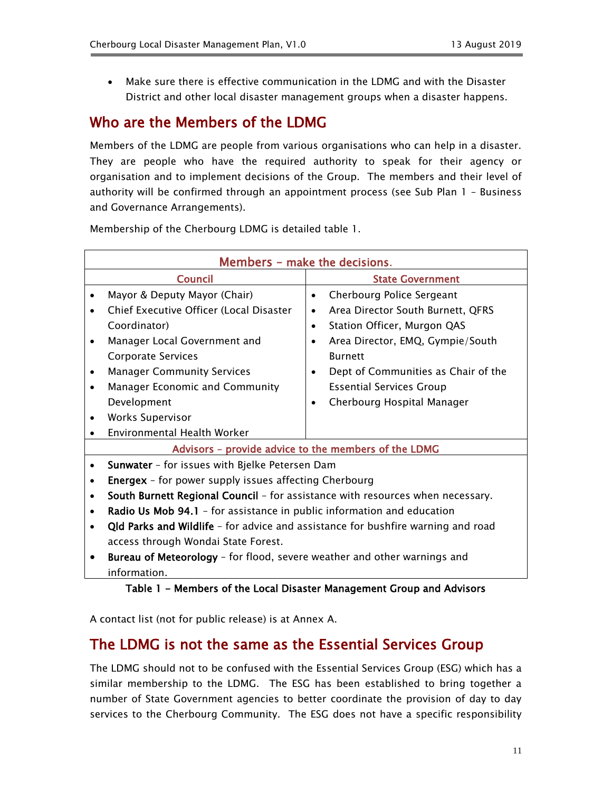Make sure there is effective communication in the LDMG and with the Disaster District and other local disaster management groups when a disaster happens.

## <span id="page-10-0"></span>Who are the Members of the LDMG

Members of the LDMG are people from various organisations who can help in a disaster. They are people who have the required authority to speak for their agency or organisation and to implement decisions of the Group. The members and their level of authority will be confirmed through an appointment process (see Sub Plan 1 – Business and Governance Arrangements).

Membership of the Cherbourg LDMG is detailed table 1.

| Members - make the decisions. |                                                                                  |           |                                     |
|-------------------------------|----------------------------------------------------------------------------------|-----------|-------------------------------------|
|                               | <b>Council</b>                                                                   |           | <b>State Government</b>             |
| ٠                             | Mayor & Deputy Mayor (Chair)                                                     | $\bullet$ | <b>Cherbourg Police Sergeant</b>    |
| ٠                             | Chief Executive Officer (Local Disaster                                          | $\bullet$ | Area Director South Burnett, QFRS   |
|                               | Coordinator)                                                                     | $\bullet$ | Station Officer, Murgon QAS         |
| ٠                             | Manager Local Government and                                                     | $\bullet$ | Area Director, EMQ, Gympie/South    |
|                               | <b>Corporate Services</b>                                                        |           | <b>Burnett</b>                      |
| ٠                             | <b>Manager Community Services</b>                                                |           | Dept of Communities as Chair of the |
| ٠                             | Manager Economic and Community                                                   |           | <b>Essential Services Group</b>     |
|                               | Development                                                                      | ٠         | Cherbourg Hospital Manager          |
|                               | <b>Works Supervisor</b>                                                          |           |                                     |
|                               | Environmental Health Worker                                                      |           |                                     |
|                               | Advisors - provide advice to the members of the LDMG                             |           |                                     |
|                               | Sunwater - for issues with Bjelke Petersen Dam                                   |           |                                     |
| ٠                             | <b>Energex</b> - for power supply issues affecting Cherbourg                     |           |                                     |
| $\bullet$                     | South Burnett Regional Council - for assistance with resources when necessary.   |           |                                     |
| ٠                             | Radio Us Mob 94.1 - for assistance in public information and education           |           |                                     |
| $\bullet$                     | Qld Parks and Wildlife - for advice and assistance for bushfire warning and road |           |                                     |
|                               | access through Wondai State Forest.                                              |           |                                     |
|                               | Bureau of Meteorology - for flood, severe weather and other warnings and         |           |                                     |
|                               | information.                                                                     |           |                                     |

#### Table 1 - Members of the Local Disaster Management Group and Advisors

A contact list (not for public release) is at Annex A.

### <span id="page-10-1"></span>The LDMG is not the same as the Essential Services Group

The LDMG should not to be confused with the Essential Services Group (ESG) which has a similar membership to the LDMG. The ESG has been established to bring together a number of State Government agencies to better coordinate the provision of day to day services to the Cherbourg Community. The ESG does not have a specific responsibility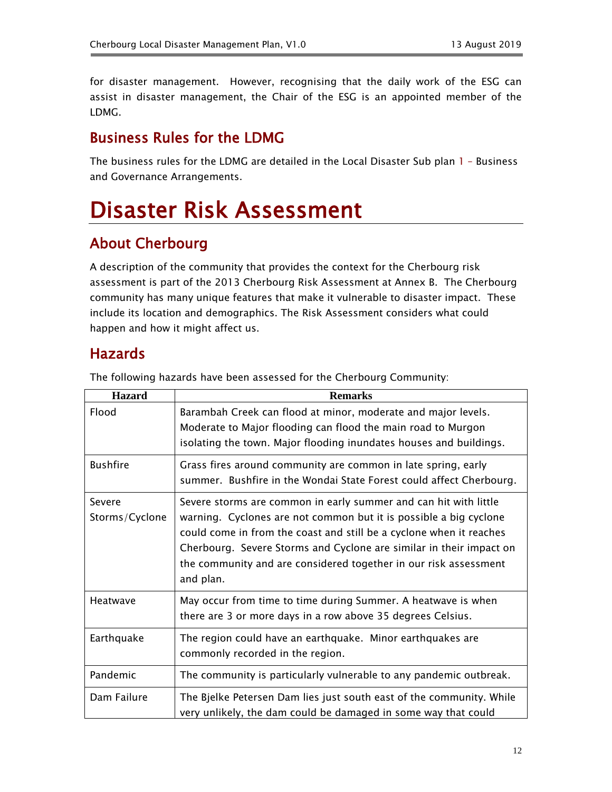for disaster management. However, recognising that the daily work of the ESG can assist in disaster management, the Chair of the ESG is an appointed member of the LDMG.

## <span id="page-11-0"></span>Business Rules for the LDMG

The business rules for the LDMG are detailed in the Local Disaster Sub plan 1 – Business and Governance Arrangements.

## <span id="page-11-1"></span>Disaster Risk Assessment

## <span id="page-11-2"></span>About Cherbourg

A description of the community that provides the context for the Cherbourg risk assessment is part of the 2013 Cherbourg Risk Assessment at Annex B. The Cherbourg community has many unique features that make it vulnerable to disaster impact. These include its location and demographics. The Risk Assessment considers what could happen and how it might affect us.

### <span id="page-11-3"></span>Hazards

| <b>Hazard</b>            | <b>Remarks</b>                                                                                                                                                                                                                                                                                                                                                       |
|--------------------------|----------------------------------------------------------------------------------------------------------------------------------------------------------------------------------------------------------------------------------------------------------------------------------------------------------------------------------------------------------------------|
| Flood                    | Barambah Creek can flood at minor, moderate and major levels.<br>Moderate to Major flooding can flood the main road to Murgon<br>isolating the town. Major flooding inundates houses and buildings.                                                                                                                                                                  |
| <b>Bushfire</b>          | Grass fires around community are common in late spring, early<br>summer. Bushfire in the Wondai State Forest could affect Cherbourg.                                                                                                                                                                                                                                 |
| Severe<br>Storms/Cyclone | Severe storms are common in early summer and can hit with little<br>warning. Cyclones are not common but it is possible a big cyclone<br>could come in from the coast and still be a cyclone when it reaches<br>Cherbourg. Severe Storms and Cyclone are similar in their impact on<br>the community and are considered together in our risk assessment<br>and plan. |
| Heatwave                 | May occur from time to time during Summer. A heatwave is when<br>there are 3 or more days in a row above 35 degrees Celsius.                                                                                                                                                                                                                                         |
| Earthquake               | The region could have an earthquake. Minor earthquakes are<br>commonly recorded in the region.                                                                                                                                                                                                                                                                       |
| Pandemic                 | The community is particularly vulnerable to any pandemic outbreak.                                                                                                                                                                                                                                                                                                   |
| Dam Failure              | The Bjelke Petersen Dam lies just south east of the community. While<br>very unlikely, the dam could be damaged in some way that could                                                                                                                                                                                                                               |

The following hazards have been assessed for the Cherbourg Community: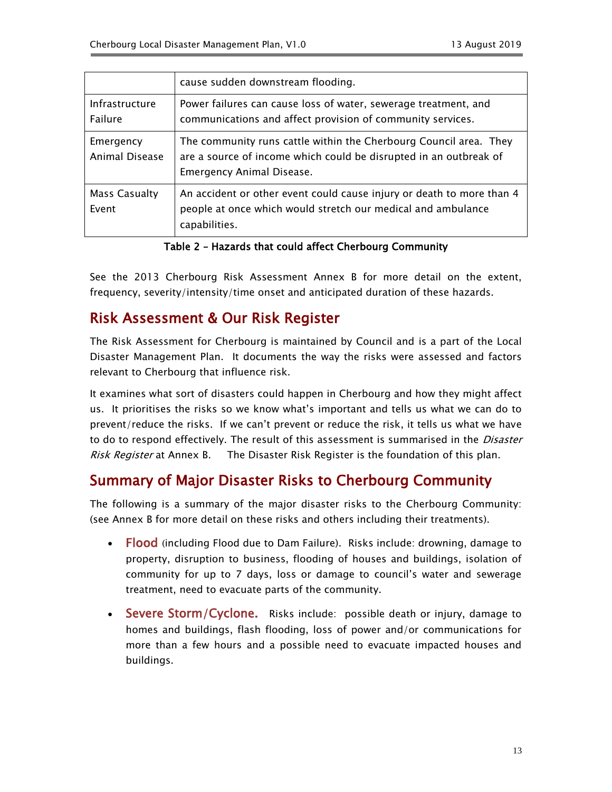|                             | cause sudden downstream flooding.                                                                                                                                   |
|-----------------------------|---------------------------------------------------------------------------------------------------------------------------------------------------------------------|
| Infrastructure<br>Failure   | Power failures can cause loss of water, sewerage treatment, and<br>communications and affect provision of community services.                                       |
| Emergency<br>Animal Disease | The community runs cattle within the Cherbourg Council area. They<br>are a source of income which could be disrupted in an outbreak of<br>Emergency Animal Disease. |
| Mass Casualty<br>Event      | An accident or other event could cause injury or death to more than 4<br>people at once which would stretch our medical and ambulance<br>capabilities.              |

Table 2 – Hazards that could affect Cherbourg Community

See the 2013 Cherbourg Risk Assessment Annex B for more detail on the extent, frequency, severity/intensity/time onset and anticipated duration of these hazards.

## <span id="page-12-0"></span>Risk Assessment & Our Risk Register

The Risk Assessment for Cherbourg is maintained by Council and is a part of the Local Disaster Management Plan. It documents the way the risks were assessed and factors relevant to Cherbourg that influence risk.

It examines what sort of disasters could happen in Cherbourg and how they might affect us. It prioritises the risks so we know what's important and tells us what we can do to prevent/reduce the risks. If we can't prevent or reduce the risk, it tells us what we have to do to respond effectively. The result of this assessment is summarised in the *Disaster* Risk Register at Annex B. The Disaster Risk Register is the foundation of this plan.

## <span id="page-12-1"></span>Summary of Major Disaster Risks to Cherbourg Community

The following is a summary of the major disaster risks to the Cherbourg Community: (see Annex B for more detail on these risks and others including their treatments).

- Flood (including Flood due to Dam Failure). Risks include: drowning, damage to property, disruption to business, flooding of houses and buildings, isolation of community for up to 7 days, loss or damage to council's water and sewerage treatment, need to evacuate parts of the community.
- Severe Storm/Cyclone. Risks include: possible death or injury, damage to homes and buildings, flash flooding, loss of power and/or communications for more than a few hours and a possible need to evacuate impacted houses and buildings.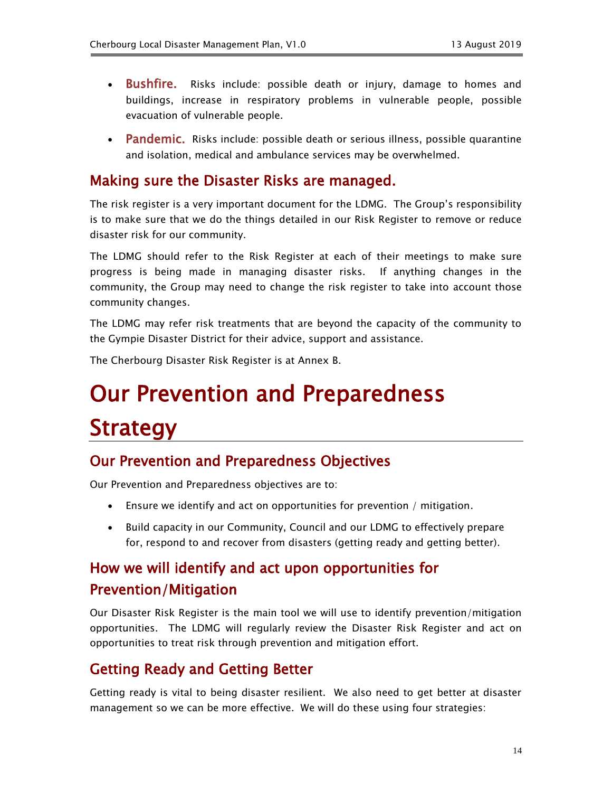- Bushfire. Risks include: possible death or injury, damage to homes and buildings, increase in respiratory problems in vulnerable people, possible evacuation of vulnerable people.
- Pandemic. Risks include: possible death or serious illness, possible quarantine and isolation, medical and ambulance services may be overwhelmed.

### <span id="page-13-0"></span>Making sure the Disaster Risks are managed.

The risk register is a very important document for the LDMG. The Group's responsibility is to make sure that we do the things detailed in our Risk Register to remove or reduce disaster risk for our community.

The LDMG should refer to the Risk Register at each of their meetings to make sure progress is being made in managing disaster risks. If anything changes in the community, the Group may need to change the risk register to take into account those community changes.

The LDMG may refer risk treatments that are beyond the capacity of the community to the Gympie Disaster District for their advice, support and assistance.

The Cherbourg Disaster Risk Register is at Annex B.

## <span id="page-13-1"></span>Our Prevention and Preparedness **Strategy**

### <span id="page-13-2"></span>Our Prevention and Preparedness Objectives

Our Prevention and Preparedness objectives are to:

- Ensure we identify and act on opportunities for prevention / mitigation.
- Build capacity in our Community, Council and our LDMG to effectively prepare for, respond to and recover from disasters (getting ready and getting better).

## <span id="page-13-3"></span>How we will identify and act upon opportunities for Prevention/Mitigation

Our Disaster Risk Register is the main tool we will use to identify prevention/mitigation opportunities. The LDMG will regularly review the Disaster Risk Register and act on opportunities to treat risk through prevention and mitigation effort.

### <span id="page-13-4"></span>Getting Ready and Getting Better

Getting ready is vital to being disaster resilient. We also need to get better at disaster management so we can be more effective. We will do these using four strategies: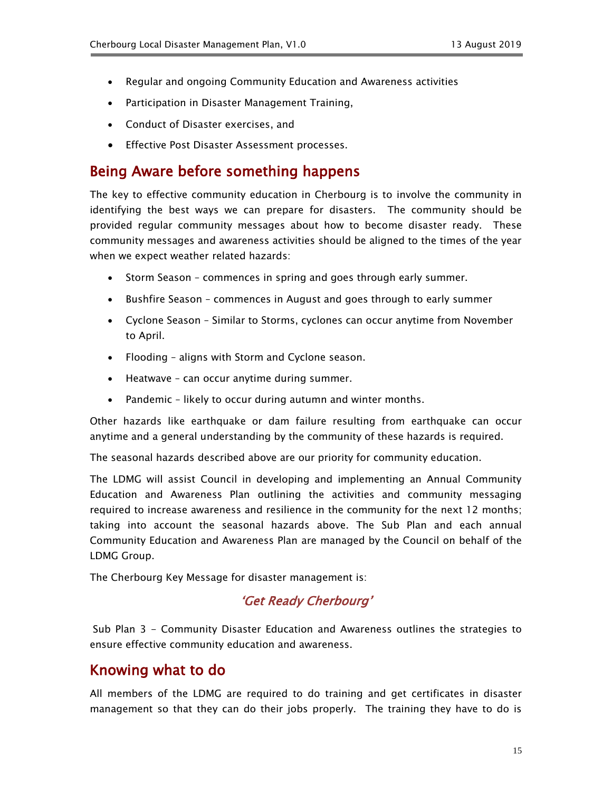- Regular and ongoing Community Education and Awareness activities
- Participation in Disaster Management Training,
- Conduct of Disaster exercises, and
- **•** Effective Post Disaster Assessment processes.

### <span id="page-14-0"></span>Being Aware before something happens

The key to effective community education in Cherbourg is to involve the community in identifying the best ways we can prepare for disasters. The community should be provided regular community messages about how to become disaster ready. These community messages and awareness activities should be aligned to the times of the year when we expect weather related hazards:

- Storm Season commences in spring and goes through early summer.
- Bushfire Season commences in August and goes through to early summer
- Cyclone Season Similar to Storms, cyclones can occur anytime from November to April.
- Flooding aligns with Storm and Cyclone season.
- Heatwave can occur anytime during summer.
- Pandemic likely to occur during autumn and winter months.

Other hazards like earthquake or dam failure resulting from earthquake can occur anytime and a general understanding by the community of these hazards is required.

The seasonal hazards described above are our priority for community education.

The LDMG will assist Council in developing and implementing an Annual Community Education and Awareness Plan outlining the activities and community messaging required to increase awareness and resilience in the community for the next 12 months; taking into account the seasonal hazards above. The Sub Plan and each annual Community Education and Awareness Plan are managed by the Council on behalf of the LDMG Group.

The Cherbourg Key Message for disaster management is:

#### 'Get Ready Cherbourg'

Sub Plan 3 - Community Disaster Education and Awareness outlines the strategies to ensure effective community education and awareness.

#### <span id="page-14-1"></span>Knowing what to do

All members of the LDMG are required to do training and get certificates in disaster management so that they can do their jobs properly. The training they have to do is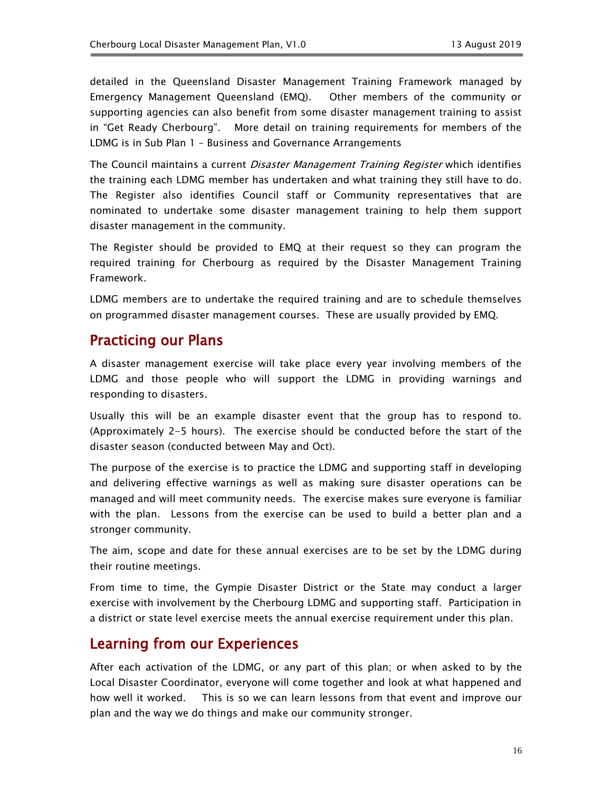detailed in the Queensland Disaster Management Training Framework managed by Emergency Management Queensland (EMQ). Other members of the community or supporting agencies can also benefit from some disaster management training to assist in "Get Ready Cherbourg". More detail on training requirements for members of the LDMG is in Sub Plan 1 – Business and Governance Arrangements

The Council maintains a current *Disaster Management Training Register* which identifies the training each LDMG member has undertaken and what training they still have to do. The Register also identifies Council staff or Community representatives that are nominated to undertake some disaster management training to help them support disaster management in the community.

The Register should be provided to EMQ at their request so they can program the required training for Cherbourg as required by the Disaster Management Training Framework.

LDMG members are to undertake the required training and are to schedule themselves on programmed disaster management courses. These are usually provided by EMQ.

#### <span id="page-15-0"></span>Practicing our Plans

A disaster management exercise will take place every year involving members of the LDMG and those people who will support the LDMG in providing warnings and responding to disasters.

Usually this will be an example disaster event that the group has to respond to. (Approximately 2-5 hours). The exercise should be conducted before the start of the disaster season (conducted between May and Oct).

The purpose of the exercise is to practice the LDMG and supporting staff in developing and delivering effective warnings as well as making sure disaster operations can be managed and will meet community needs. The exercise makes sure everyone is familiar with the plan. Lessons from the exercise can be used to build a better plan and a stronger community.

The aim, scope and date for these annual exercises are to be set by the LDMG during their routine meetings.

From time to time, the Gympie Disaster District or the State may conduct a larger exercise with involvement by the Cherbourg LDMG and supporting staff. Participation in a district or state level exercise meets the annual exercise requirement under this plan.

### <span id="page-15-1"></span>Learning from our Experiences

After each activation of the LDMG, or any part of this plan; or when asked to by the Local Disaster Coordinator, everyone will come together and look at what happened and how well it worked. This is so we can learn lessons from that event and improve our plan and the way we do things and make our community stronger.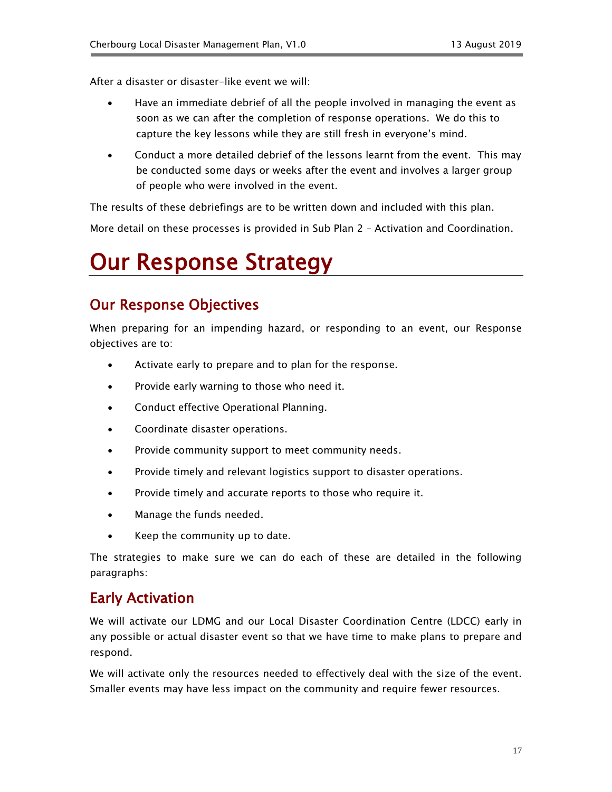After a disaster or disaster-like event we will:

- Have an immediate debrief of all the people involved in managing the event as soon as we can after the completion of response operations. We do this to capture the key lessons while they are still fresh in everyone's mind.
- Conduct a more detailed debrief of the lessons learnt from the event. This may be conducted some days or weeks after the event and involves a larger group of people who were involved in the event.

The results of these debriefings are to be written down and included with this plan.

More detail on these processes is provided in Sub Plan 2 – Activation and Coordination.

## <span id="page-16-0"></span>Our Response Strategy

## <span id="page-16-1"></span>Our Response Objectives

When preparing for an impending hazard, or responding to an event, our Response objectives are to:

- Activate early to prepare and to plan for the response.
- Provide early warning to those who need it.
- Conduct effective Operational Planning.
- Coordinate disaster operations.
- Provide community support to meet community needs.
- Provide timely and relevant logistics support to disaster operations.
- Provide timely and accurate reports to those who require it.
- Manage the funds needed.
- Keep the community up to date.

The strategies to make sure we can do each of these are detailed in the following paragraphs:

### <span id="page-16-2"></span>Early Activation

We will activate our LDMG and our Local Disaster Coordination Centre (LDCC) early in any possible or actual disaster event so that we have time to make plans to prepare and respond.

We will activate only the resources needed to effectively deal with the size of the event. Smaller events may have less impact on the community and require fewer resources.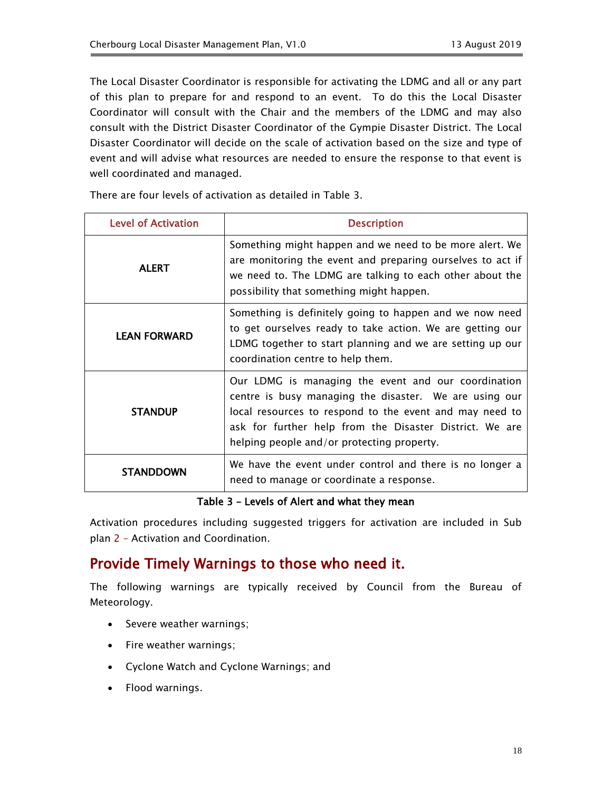The Local Disaster Coordinator is responsible for activating the LDMG and all or any part of this plan to prepare for and respond to an event. To do this the Local Disaster Coordinator will consult with the Chair and the members of the LDMG and may also consult with the District Disaster Coordinator of the Gympie Disaster District. The Local Disaster Coordinator will decide on the scale of activation based on the size and type of event and will advise what resources are needed to ensure the response to that event is well coordinated and managed.

There are four levels of activation as detailed in Table 3.

| <b>Level of Activation</b> | <b>Description</b>                                                                                                                                                                                                                                                                |
|----------------------------|-----------------------------------------------------------------------------------------------------------------------------------------------------------------------------------------------------------------------------------------------------------------------------------|
| <b>ALERT</b>               | Something might happen and we need to be more alert. We<br>are monitoring the event and preparing ourselves to act if<br>we need to. The LDMG are talking to each other about the<br>possibility that something might happen.                                                     |
| <b>LEAN FORWARD</b>        | Something is definitely going to happen and we now need<br>to get ourselves ready to take action. We are getting our<br>LDMG together to start planning and we are setting up our<br>coordination centre to help them.                                                            |
| <b>STANDUP</b>             | Our LDMG is managing the event and our coordination<br>centre is busy managing the disaster. We are using our<br>local resources to respond to the event and may need to<br>ask for further help from the Disaster District. We are<br>helping people and/or protecting property. |
| <b>STANDDOWN</b>           | We have the event under control and there is no longer a<br>need to manage or coordinate a response.                                                                                                                                                                              |

#### Table 3 – Levels of Alert and what they mean

Activation procedures including suggested triggers for activation are included in Sub plan 2 – Activation and Coordination.

### <span id="page-17-0"></span>Provide Timely Warnings to those who need it.

The following warnings are typically received by Council from the Bureau of Meteorology.

- Severe weather warnings;
- Fire weather warnings;
- Cyclone Watch and Cyclone Warnings; and
- Flood warnings.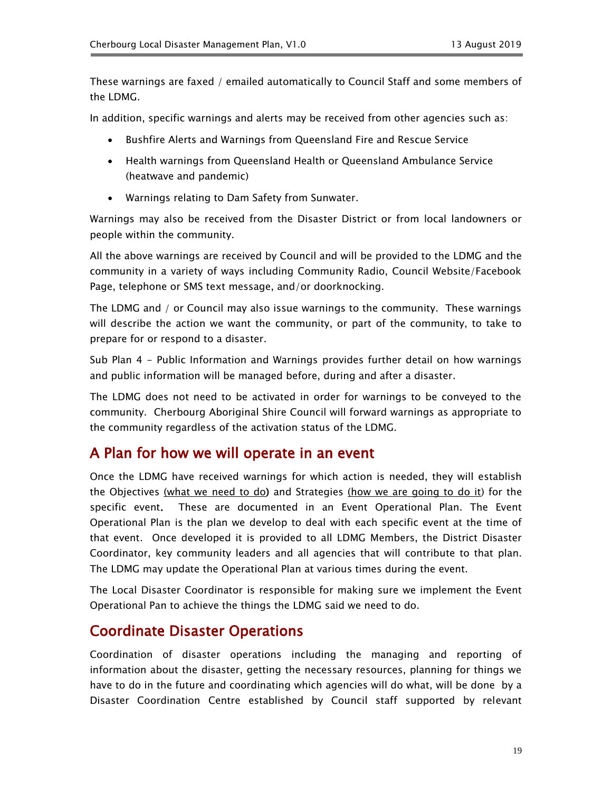These warnings are faxed / emailed automatically to Council Staff and some members of the LDMG.

In addition, specific warnings and alerts may be received from other agencies such as:

- Bushfire Alerts and Warnings from Queensland Fire and Rescue Service
- Health warnings from Queensland Health or Queensland Ambulance Service (heatwave and pandemic)
- Warnings relating to Dam Safety from Sunwater.

Warnings may also be received from the Disaster District or from local landowners or people within the community.

All the above warnings are received by Council and will be provided to the LDMG and the community in a variety of ways including Community Radio, Council Website/Facebook Page, telephone or SMS text message, and/or doorknocking.

The LDMG and / or Council may also issue warnings to the community. These warnings will describe the action we want the community, or part of the community, to take to prepare for or respond to a disaster.

Sub Plan 4 - Public Information and Warnings provides further detail on how warnings and public information will be managed before, during and after a disaster.

The LDMG does not need to be activated in order for warnings to be conveyed to the community. Cherbourg Aboriginal Shire Council will forward warnings as appropriate to the community regardless of the activation status of the LDMG.

### <span id="page-18-0"></span>A Plan for how we will operate in an event

Once the LDMG have received warnings for which action is needed, they will establish the Objectives (what we need to do) and Strategies (how we are going to do it) for the specific event. These are documented in an Event Operational Plan. The Event Operational Plan is the plan we develop to deal with each specific event at the time of that event. Once developed it is provided to all LDMG Members, the District Disaster Coordinator, key community leaders and all agencies that will contribute to that plan. The LDMG may update the Operational Plan at various times during the event.

The Local Disaster Coordinator is responsible for making sure we implement the Event Operational Pan to achieve the things the LDMG said we need to do.

### <span id="page-18-1"></span>Coordinate Disaster Operations

Coordination of disaster operations including the managing and reporting of information about the disaster, getting the necessary resources, planning for things we have to do in the future and coordinating which agencies will do what, will be done by a Disaster Coordination Centre established by Council staff supported by relevant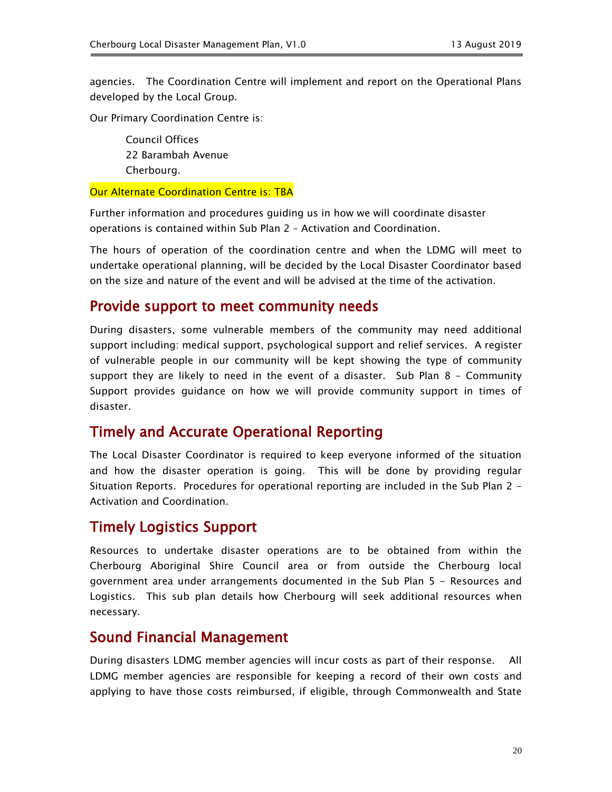agencies. The Coordination Centre will implement and report on the Operational Plans developed by the Local Group.

Our Primary Coordination Centre is:

Council Offices 22 Barambah Avenue Cherbourg.

**Our Alternate Coordination Centre is: TBA** 

Further information and procedures guiding us in how we will coordinate disaster operations is contained within Sub Plan 2 – Activation and Coordination.

The hours of operation of the coordination centre and when the LDMG will meet to undertake operational planning, will be decided by the Local Disaster Coordinator based on the size and nature of the event and will be advised at the time of the activation.

### <span id="page-19-0"></span>Provide support to meet community needs

During disasters, some vulnerable members of the community may need additional support including: medical support, psychological support and relief services. A register of vulnerable people in our community will be kept showing the type of community support they are likely to need in the event of a disaster. Sub Plan 8 – Community Support provides guidance on how we will provide community support in times of disaster.

#### <span id="page-19-1"></span>Timely and Accurate Operational Reporting

The Local Disaster Coordinator is required to keep everyone informed of the situation and how the disaster operation is going. This will be done by providing regular Situation Reports. Procedures for operational reporting are included in the Sub Plan 2 - Activation and Coordination.

### <span id="page-19-2"></span>Timely Logistics Support

Resources to undertake disaster operations are to be obtained from within the Cherbourg Aboriginal Shire Council area or from outside the Cherbourg local government area under arrangements documented in the Sub Plan 5 - Resources and Logistics. This sub plan details how Cherbourg will seek additional resources when necessary.

### <span id="page-19-3"></span>Sound Financial Management

During disasters LDMG member agencies will incur costs as part of their response. All LDMG member agencies are responsible for keeping a record of their own costs and applying to have those costs reimbursed, if eligible, through Commonwealth and State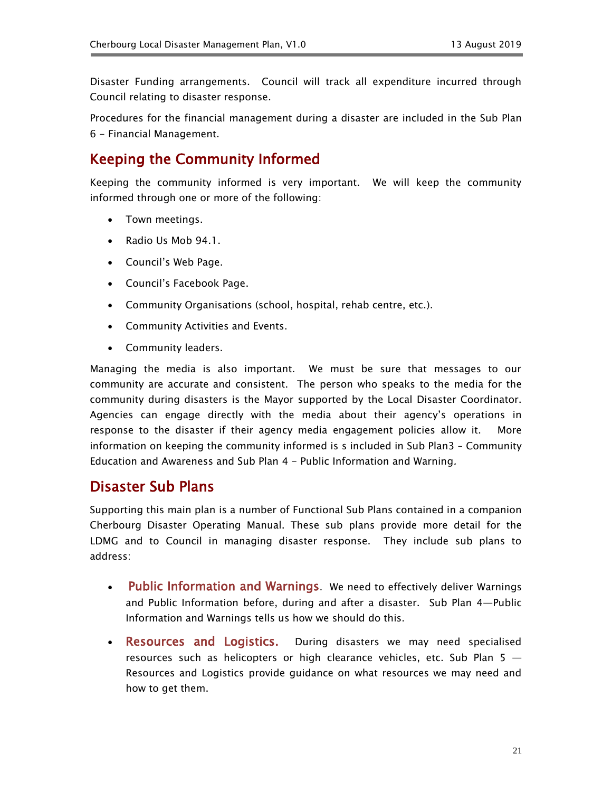Disaster Funding arrangements. Council will track all expenditure incurred through Council relating to disaster response.

Procedures for the financial management during a disaster are included in the Sub Plan 6 - Financial Management.

### <span id="page-20-0"></span>Keeping the Community Informed

Keeping the community informed is very important. We will keep the community informed through one or more of the following:

- Town meetings.
- Radio Us Mob 94.1.
- Council's Web Page.
- Council's Facebook Page.
- Community Organisations (school, hospital, rehab centre, etc.).
- Community Activities and Events.
- Community leaders.

Managing the media is also important. We must be sure that messages to our community are accurate and consistent. The person who speaks to the media for the community during disasters is the Mayor supported by the Local Disaster Coordinator. Agencies can engage directly with the media about their agency's operations in response to the disaster if their agency media engagement policies allow it. More information on keeping the community informed is s included in Sub Plan3 – Community Education and Awareness and Sub Plan 4 - Public Information and Warning.

#### <span id="page-20-1"></span>Disaster Sub Plans

Supporting this main plan is a number of Functional Sub Plans contained in a companion Cherbourg Disaster Operating Manual. These sub plans provide more detail for the LDMG and to Council in managing disaster response. They include sub plans to address:

- Public Information and Warnings. We need to effectively deliver Warnings and Public Information before, during and after a disaster. Sub Plan 4—Public Information and Warnings tells us how we should do this.
- Resources and Logistics. During disasters we may need specialised resources such as helicopters or high clearance vehicles, etc. Sub Plan 5 — Resources and Logistics provide guidance on what resources we may need and how to get them.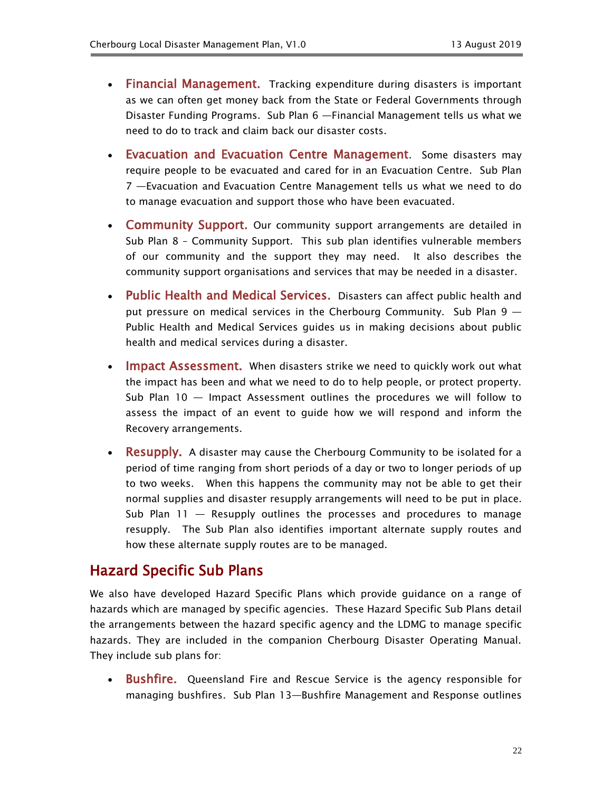- Financial Management. Tracking expenditure during disasters is important as we can often get money back from the State or Federal Governments through Disaster Funding Programs. Sub Plan 6 —Financial Management tells us what we need to do to track and claim back our disaster costs.
- Evacuation and Evacuation Centre Management. Some disasters may require people to be evacuated and cared for in an Evacuation Centre. Sub Plan 7 —Evacuation and Evacuation Centre Management tells us what we need to do to manage evacuation and support those who have been evacuated.
- Community Support. Our community support arrangements are detailed in Sub Plan 8 – Community Support. This sub plan identifies vulnerable members of our community and the support they may need. It also describes the community support organisations and services that may be needed in a disaster.
- Public Health and Medical Services. Disasters can affect public health and put pressure on medical services in the Cherbourg Community. Sub Plan 9 — Public Health and Medical Services guides us in making decisions about public health and medical services during a disaster.
- Impact Assessment. When disasters strike we need to quickly work out what the impact has been and what we need to do to help people, or protect property. Sub Plan 10 — Impact Assessment outlines the procedures we will follow to assess the impact of an event to guide how we will respond and inform the Recovery arrangements.
- Resupply. A disaster may cause the Cherbourg Community to be isolated for a period of time ranging from short periods of a day or two to longer periods of up to two weeks. When this happens the community may not be able to get their normal supplies and disaster resupply arrangements will need to be put in place. Sub Plan  $11$  — Resupply outlines the processes and procedures to manage resupply. The Sub Plan also identifies important alternate supply routes and how these alternate supply routes are to be managed.

### <span id="page-21-0"></span>Hazard Specific Sub Plans

We also have developed Hazard Specific Plans which provide guidance on a range of hazards which are managed by specific agencies. These Hazard Specific Sub Plans detail the arrangements between the hazard specific agency and the LDMG to manage specific hazards. They are included in the companion Cherbourg Disaster Operating Manual. They include sub plans for:

• Bushfire. Queensland Fire and Rescue Service is the agency responsible for managing bushfires. Sub Plan 13—Bushfire Management and Response outlines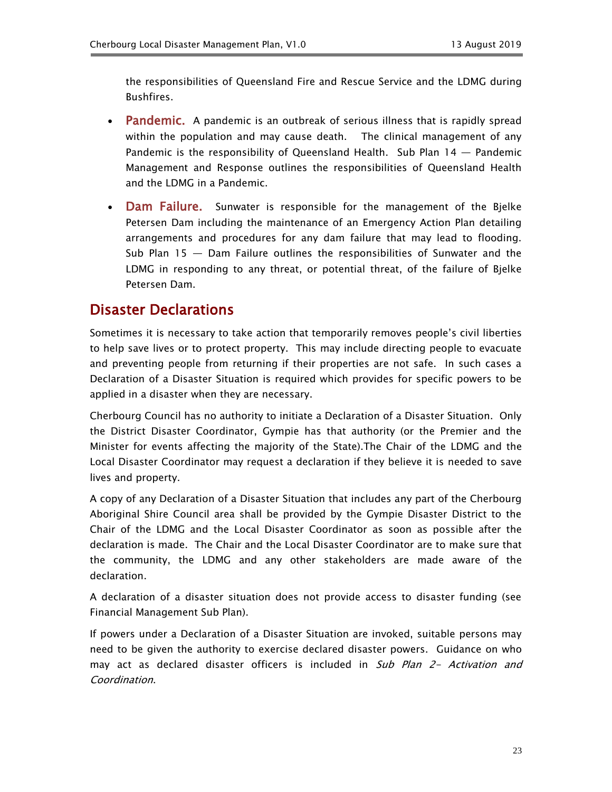the responsibilities of Queensland Fire and Rescue Service and the LDMG during Bushfires.

- Pandemic. A pandemic is an outbreak of serious illness that is rapidly spread within the population and may cause death. The clinical management of any Pandemic is the responsibility of Queensland Health. Sub Plan 14 — Pandemic Management and Response outlines the responsibilities of Queensland Health and the LDMG in a Pandemic.
- Dam Failure. Sunwater is responsible for the management of the Bjelke Petersen Dam including the maintenance of an Emergency Action Plan detailing arrangements and procedures for any dam failure that may lead to flooding. Sub Plan 15 — Dam Failure outlines the responsibilities of Sunwater and the LDMG in responding to any threat, or potential threat, of the failure of Bjelke Petersen Dam.

## <span id="page-22-0"></span>Disaster Declarations

Sometimes it is necessary to take action that temporarily removes people's civil liberties to help save lives or to protect property. This may include directing people to evacuate and preventing people from returning if their properties are not safe. In such cases a Declaration of a Disaster Situation is required which provides for specific powers to be applied in a disaster when they are necessary.

Cherbourg Council has no authority to initiate a Declaration of a Disaster Situation. Only the District Disaster Coordinator, Gympie has that authority (or the Premier and the Minister for events affecting the majority of the State).The Chair of the LDMG and the Local Disaster Coordinator may request a declaration if they believe it is needed to save lives and property.

A copy of any Declaration of a Disaster Situation that includes any part of the Cherbourg Aboriginal Shire Council area shall be provided by the Gympie Disaster District to the Chair of the LDMG and the Local Disaster Coordinator as soon as possible after the declaration is made. The Chair and the Local Disaster Coordinator are to make sure that the community, the LDMG and any other stakeholders are made aware of the declaration.

A declaration of a disaster situation does not provide access to disaster funding (see Financial Management Sub Plan).

If powers under a Declaration of a Disaster Situation are invoked, suitable persons may need to be given the authority to exercise declared disaster powers. Guidance on who may act as declared disaster officers is included in Sub Plan 2- Activation and Coordination.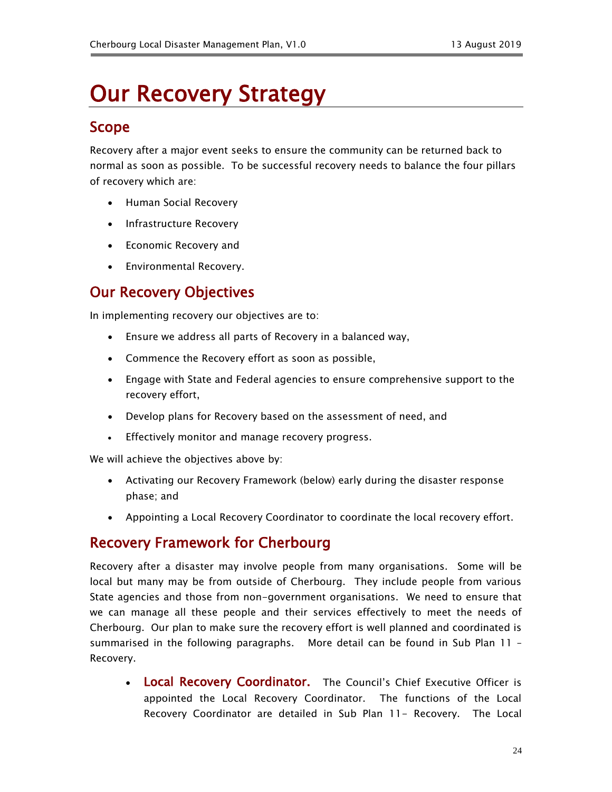## <span id="page-23-0"></span>Our Recovery Strategy

## <span id="page-23-1"></span>Scope

Recovery after a major event seeks to ensure the community can be returned back to normal as soon as possible. To be successful recovery needs to balance the four pillars of recovery which are:

- Human Social Recovery
- Infrastructure Recovery
- Economic Recovery and
- Environmental Recovery.

## <span id="page-23-2"></span>Our Recovery Objectives

In implementing recovery our objectives are to:

- Ensure we address all parts of Recovery in a balanced way,
- Commence the Recovery effort as soon as possible,
- Engage with State and Federal agencies to ensure comprehensive support to the recovery effort,
- Develop plans for Recovery based on the assessment of need, and
- **Effectively monitor and manage recovery progress.**

We will achieve the objectives above by:

- Activating our Recovery Framework (below) early during the disaster response phase; and
- Appointing a Local Recovery Coordinator to coordinate the local recovery effort.

### <span id="page-23-3"></span>Recovery Framework for Cherbourg

Recovery after a disaster may involve people from many organisations. Some will be local but many may be from outside of Cherbourg. They include people from various State agencies and those from non-government organisations. We need to ensure that we can manage all these people and their services effectively to meet the needs of Cherbourg. Our plan to make sure the recovery effort is well planned and coordinated is summarised in the following paragraphs. More detail can be found in Sub Plan 11 – Recovery.

• Local Recovery Coordinator. The Council's Chief Executive Officer is appointed the Local Recovery Coordinator. The functions of the Local Recovery Coordinator are detailed in Sub Plan 11- Recovery. The Local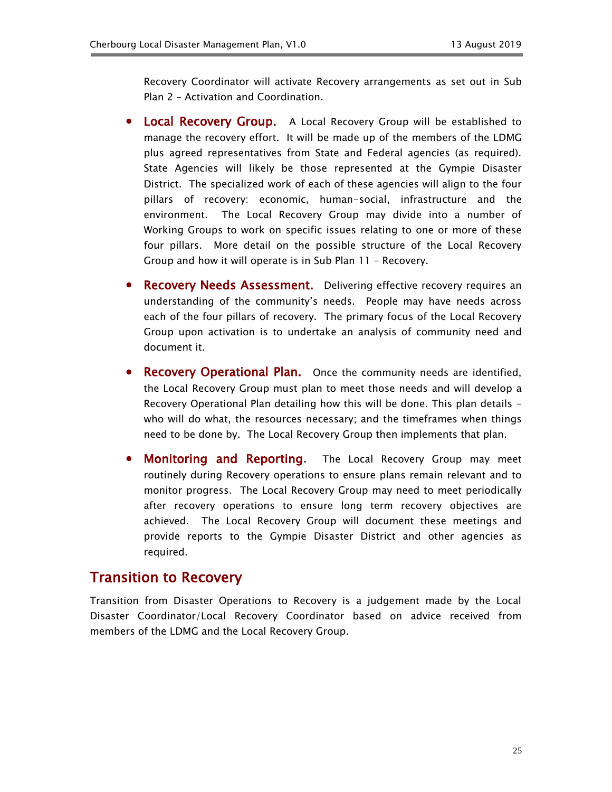Recovery Coordinator will activate Recovery arrangements as set out in Sub Plan 2 – Activation and Coordination.

- Local Recovery Group. A Local Recovery Group will be established to manage the recovery effort. It will be made up of the members of the LDMG plus agreed representatives from State and Federal agencies (as required). State Agencies will likely be those represented at the Gympie Disaster District. The specialized work of each of these agencies will align to the four pillars of recovery: economic, human-social, infrastructure and the environment. The Local Recovery Group may divide into a number of Working Groups to work on specific issues relating to one or more of these four pillars. More detail on the possible structure of the Local Recovery Group and how it will operate is in Sub Plan 11 – Recovery.
- Recovery Needs Assessment. Delivering effective recovery requires an understanding of the community's needs. People may have needs across each of the four pillars of recovery. The primary focus of the Local Recovery Group upon activation is to undertake an analysis of community need and document it.
- Recovery Operational Plan. Once the community needs are identified, the Local Recovery Group must plan to meet those needs and will develop a Recovery Operational Plan detailing how this will be done. This plan details who will do what, the resources necessary; and the timeframes when things need to be done by. The Local Recovery Group then implements that plan.
- Monitoring and Reporting. The Local Recovery Group may meet routinely during Recovery operations to ensure plans remain relevant and to monitor progress. The Local Recovery Group may need to meet periodically after recovery operations to ensure long term recovery objectives are achieved. The Local Recovery Group will document these meetings and provide reports to the Gympie Disaster District and other agencies as required.

#### <span id="page-24-0"></span>Transition to Recovery

Transition from Disaster Operations to Recovery is a judgement made by the Local Disaster Coordinator/Local Recovery Coordinator based on advice received from members of the LDMG and the Local Recovery Group.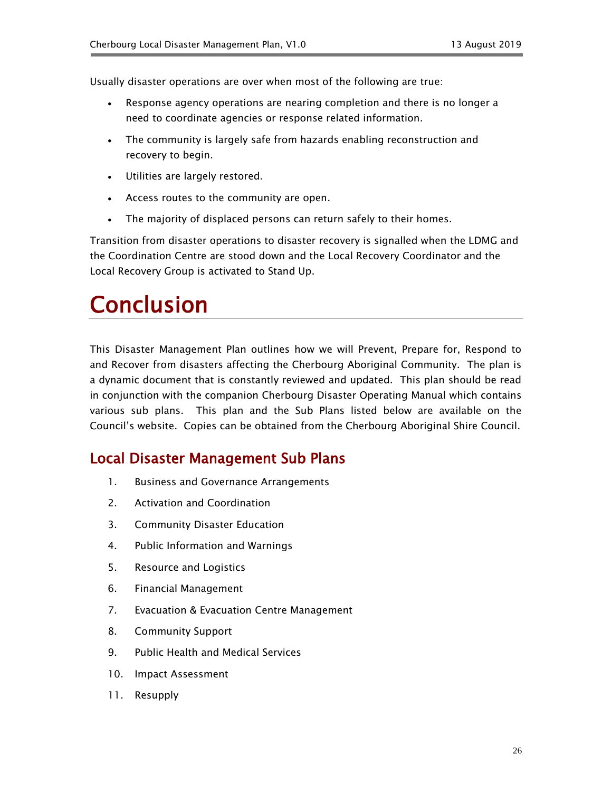Usually disaster operations are over when most of the following are true:

- Response agency operations are nearing completion and there is no longer a need to coordinate agencies or response related information.
- The community is largely safe from hazards enabling reconstruction and recovery to begin.
- Utilities are largely restored.
- Access routes to the community are open.
- The majority of displaced persons can return safely to their homes.

Transition from disaster operations to disaster recovery is signalled when the LDMG and the Coordination Centre are stood down and the Local Recovery Coordinator and the Local Recovery Group is activated to Stand Up.

## <span id="page-25-0"></span>Conclusion

This Disaster Management Plan outlines how we will Prevent, Prepare for, Respond to and Recover from disasters affecting the Cherbourg Aboriginal Community. The plan is a dynamic document that is constantly reviewed and updated. This plan should be read in conjunction with the companion Cherbourg Disaster Operating Manual which contains various sub plans. This plan and the Sub Plans listed below are available on the Council's website. Copies can be obtained from the Cherbourg Aboriginal Shire Council.

### <span id="page-25-1"></span>Local Disaster Management Sub Plans

- 1. Business and Governance Arrangements
- 2. Activation and Coordination
- 3. Community Disaster Education
- 4. Public Information and Warnings
- 5. Resource and Logistics
- 6. Financial Management
- 7. Evacuation & Evacuation Centre Management
- 8. Community Support
- 9. Public Health and Medical Services
- 10. Impact Assessment
- 11. Resupply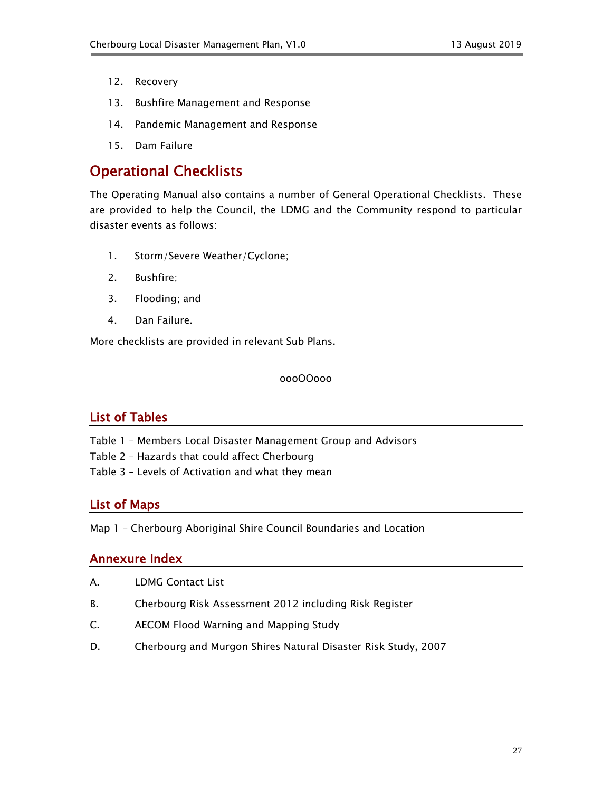- 12. Recovery
- 13. Bushfire Management and Response
- 14. Pandemic Management and Response
- 15. Dam Failure

### <span id="page-26-0"></span>Operational Checklists

The Operating Manual also contains a number of General Operational Checklists. These are provided to help the Council, the LDMG and the Community respond to particular disaster events as follows:

- 1. Storm/Severe Weather/Cyclone;
- 2. Bushfire;
- 3. Flooding; and
- 4. Dan Failure.

More checklists are provided in relevant Sub Plans.

oooOOooo

#### <span id="page-26-1"></span>List of Tables

- Table 1 Members Local Disaster Management Group and Advisors
- Table 2 Hazards that could affect Cherbourg
- Table 3 Levels of Activation and what they mean

#### <span id="page-26-2"></span>List of Maps

Map 1 – Cherbourg Aboriginal Shire Council Boundaries and Location

#### <span id="page-26-3"></span>Annexure Index

- A. LDMG Contact List
- B. Cherbourg Risk Assessment 2012 including Risk Register
- C. AECOM Flood Warning and Mapping Study
- D. Cherbourg and Murgon Shires Natural Disaster Risk Study, 2007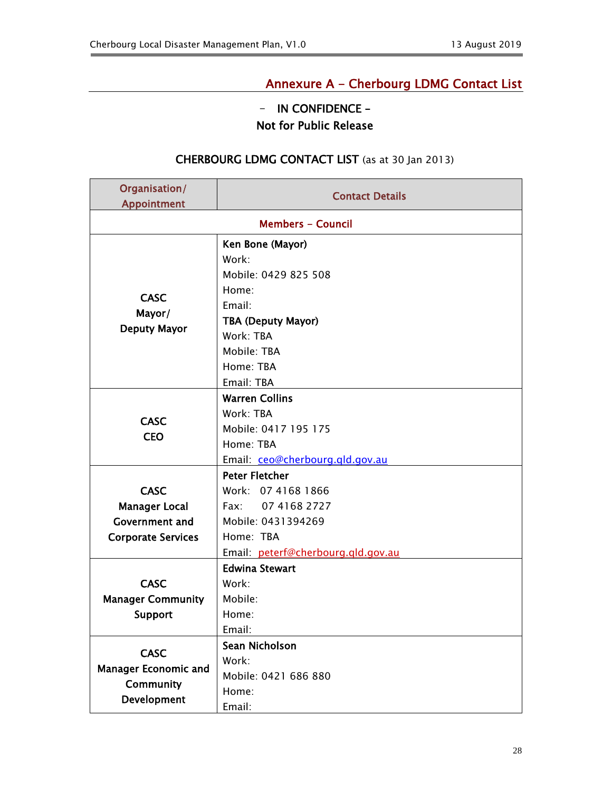### Annexure A - Cherbourg LDMG Contact List

### - IN CONFIDENCE – Not for Public Release

#### CHERBOURG LDMG CONTACT LIST (as at 30 Jan 2013)

<span id="page-27-0"></span>

| Organisation/<br>Appointment                                | <b>Contact Details</b>                                   |  |  |
|-------------------------------------------------------------|----------------------------------------------------------|--|--|
| <b>Members - Council</b>                                    |                                                          |  |  |
|                                                             |                                                          |  |  |
|                                                             | Ken Bone (Mayor)                                         |  |  |
|                                                             | Work:<br>Mobile: 0429 825 508                            |  |  |
|                                                             | Home:                                                    |  |  |
| <b>CASC</b>                                                 | Email:                                                   |  |  |
| Mayor/                                                      |                                                          |  |  |
| <b>Deputy Mayor</b>                                         | <b>TBA (Deputy Mayor)</b><br>Work: TBA                   |  |  |
|                                                             | Mobile: TBA                                              |  |  |
|                                                             | Home: TBA                                                |  |  |
|                                                             | Email: TBA                                               |  |  |
|                                                             | <b>Warren Collins</b>                                    |  |  |
|                                                             | Work: TBA                                                |  |  |
| <b>CASC</b>                                                 | Mobile: 0417 195 175                                     |  |  |
| <b>CEO</b>                                                  | Home: TBA                                                |  |  |
|                                                             |                                                          |  |  |
|                                                             | Email: ceo@cherbourg.qld.gov.au<br><b>Peter Fletcher</b> |  |  |
| <b>CASC</b>                                                 | Work: 07 4168 1866                                       |  |  |
| <b>Manager Local</b>                                        | Fax: 07 4168 2727                                        |  |  |
| <b>Government and</b>                                       | Mobile: 0431394269                                       |  |  |
| <b>Corporate Services</b>                                   | Home: TBA                                                |  |  |
|                                                             |                                                          |  |  |
| Email: peterf@cherbourg.qld.gov.au<br><b>Edwina Stewart</b> |                                                          |  |  |
| <b>CASC</b>                                                 | Work:                                                    |  |  |
| <b>Manager Community</b>                                    | Mobile:                                                  |  |  |
| Support                                                     | Home:                                                    |  |  |
|                                                             | Email:                                                   |  |  |
|                                                             | Sean Nicholson                                           |  |  |
| <b>CASC</b>                                                 | Work:                                                    |  |  |
| <b>Manager Economic and</b>                                 | Mobile: 0421 686 880                                     |  |  |
| <b>Community</b>                                            | Home:                                                    |  |  |
| Development                                                 | Email:                                                   |  |  |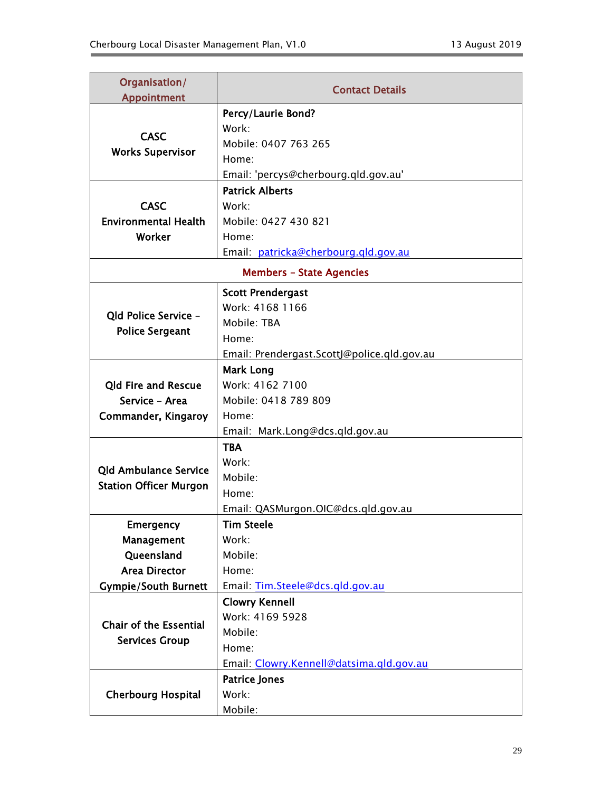| Organisation/<br><b>Appointment</b> | <b>Contact Details</b>                                           |  |
|-------------------------------------|------------------------------------------------------------------|--|
|                                     | Percy/Laurie Bond?                                               |  |
|                                     | Work:                                                            |  |
| <b>CASC</b>                         | Mobile: 0407 763 265                                             |  |
| <b>Works Supervisor</b>             | Home:                                                            |  |
|                                     | Email: 'percys@cherbourg.qld.gov.au'                             |  |
|                                     | <b>Patrick Alberts</b>                                           |  |
| <b>CASC</b>                         | Work:                                                            |  |
| <b>Environmental Health</b>         | Mobile: 0427 430 821                                             |  |
| Worker                              | Home:                                                            |  |
|                                     | Email: patricka@cherbourg.gld.gov.au                             |  |
| <b>Members - State Agencies</b>     |                                                                  |  |
|                                     | <b>Scott Prendergast</b>                                         |  |
| Old Police Service -                | Work: 4168 1166                                                  |  |
| <b>Police Sergeant</b>              | Mobile: TBA                                                      |  |
|                                     | Home:                                                            |  |
|                                     | Email: Prendergast.ScottJ@police.qld.gov.au                      |  |
|                                     | <b>Mark Long</b>                                                 |  |
| <b>Qld Fire and Rescue</b>          | Work: 4162 7100                                                  |  |
| Service - Area                      | Mobile: 0418 789 809                                             |  |
| Commander, Kingaroy                 | Home:                                                            |  |
|                                     | Email: Mark.Long@dcs.qld.gov.au                                  |  |
|                                     | <b>TBA</b>                                                       |  |
| <b>Qld Ambulance Service</b>        | Work:                                                            |  |
| <b>Station Officer Murgon</b>       | Mobile:                                                          |  |
|                                     | Home:                                                            |  |
|                                     | Email: QASMurgon.OIC@dcs.qld.gov.au                              |  |
| Emergency                           | <b>Tim Steele</b>                                                |  |
| Management                          | Work:                                                            |  |
| Queensland                          | Mobile:                                                          |  |
| <b>Area Director</b>                | Home:                                                            |  |
| <b>Gympie/South Burnett</b>         | Email: Tim.Steele@dcs.qld.gov.au                                 |  |
|                                     | <b>Clowry Kennell</b><br>Work: 4169 5928                         |  |
| <b>Chair of the Essential</b>       | Mobile:                                                          |  |
| <b>Services Group</b>               | Home:                                                            |  |
|                                     |                                                                  |  |
|                                     | Email: Clowry.Kennell@datsima.gld.gov.au<br><b>Patrice Jones</b> |  |
| <b>Cherbourg Hospital</b>           | Work:                                                            |  |
|                                     | Mobile:                                                          |  |
|                                     |                                                                  |  |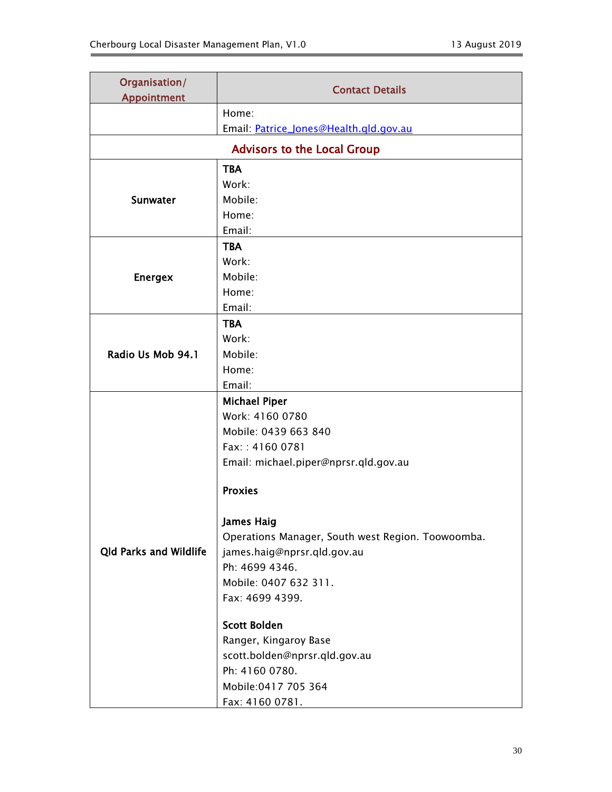| Organisation/<br><b>Appointment</b> | <b>Contact Details</b>                            |  |  |
|-------------------------------------|---------------------------------------------------|--|--|
|                                     | Home:                                             |  |  |
|                                     | Email: Patrice_Jones@Health.qld.gov.au            |  |  |
| <b>Advisors to the Local Group</b>  |                                                   |  |  |
|                                     | <b>TBA</b>                                        |  |  |
|                                     | Work:                                             |  |  |
| <b>Sunwater</b>                     | Mobile:                                           |  |  |
|                                     | Home:                                             |  |  |
|                                     | Email:                                            |  |  |
|                                     | <b>TBA</b>                                        |  |  |
|                                     | Work:                                             |  |  |
| <b>Energex</b>                      | Mobile:                                           |  |  |
|                                     | Home:                                             |  |  |
|                                     | Email:                                            |  |  |
|                                     | <b>TBA</b>                                        |  |  |
|                                     | Work:                                             |  |  |
| Radio Us Mob 94.1                   | Mobile:                                           |  |  |
|                                     | Home:                                             |  |  |
|                                     | Email:                                            |  |  |
|                                     | <b>Michael Piper</b>                              |  |  |
|                                     | Work: 4160 0780                                   |  |  |
|                                     | Mobile: 0439 663 840                              |  |  |
|                                     | Fax:: 4160 0781                                   |  |  |
|                                     | Email: michael.piper@nprsr.qld.gov.au             |  |  |
|                                     | <b>Proxies</b>                                    |  |  |
|                                     | <b>James Haig</b>                                 |  |  |
|                                     | Operations Manager, South west Region. Toowoomba. |  |  |
| <b>Qld Parks and Wildlife</b>       | james.haig@nprsr.qld.gov.au                       |  |  |
|                                     | Ph: 4699 4346.                                    |  |  |
|                                     | Mobile: 0407 632 311.                             |  |  |
|                                     | Fax: 4699 4399.                                   |  |  |
|                                     | <b>Scott Bolden</b>                               |  |  |
|                                     | Ranger, Kingaroy Base                             |  |  |
|                                     | scott.bolden@nprsr.qld.gov.au                     |  |  |
|                                     | Ph: 4160 0780.                                    |  |  |
|                                     | Mobile:0417 705 364                               |  |  |
|                                     | Fax: 4160 0781.                                   |  |  |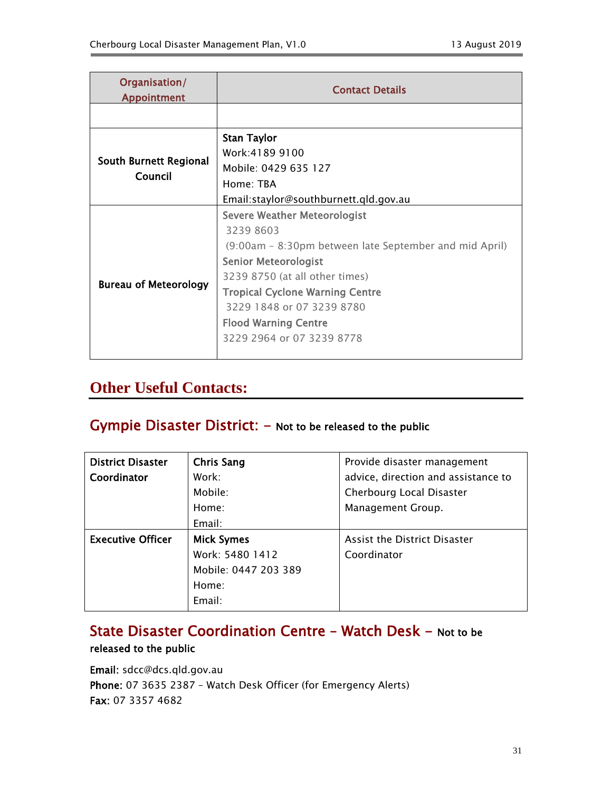| Organisation/<br>Appointment      | <b>Contact Details</b>                                 |  |
|-----------------------------------|--------------------------------------------------------|--|
|                                   |                                                        |  |
|                                   | <b>Stan Taylor</b>                                     |  |
| South Burnett Regional<br>Council | Work:4189 9100                                         |  |
|                                   | Mobile: 0429 635 127                                   |  |
|                                   | Home: TBA                                              |  |
|                                   | Email:staylor@southburnett.qld.gov.au                  |  |
|                                   | <b>Severe Weather Meteorologist</b>                    |  |
|                                   | 3239 8603                                              |  |
|                                   | (9:00am – 8:30pm between late September and mid April) |  |
|                                   | <b>Senior Meteorologist</b>                            |  |
|                                   | 3239 8750 (at all other times)                         |  |
| <b>Bureau of Meteorology</b>      | <b>Tropical Cyclone Warning Centre</b>                 |  |
|                                   | 3229 1848 or 07 3239 8780                              |  |
|                                   | <b>Flood Warning Centre</b>                            |  |
|                                   | 3229 2964 or 07 3239 8778                              |  |
|                                   |                                                        |  |

## **Other Useful Contacts:**

## Gympie Disaster District: - Not to be released to the public

| <b>District Disaster</b> | <b>Chris Sang</b>    | Provide disaster management         |
|--------------------------|----------------------|-------------------------------------|
| Coordinator              | Work:                | advice, direction and assistance to |
|                          | Mobile:              | Cherbourg Local Disaster            |
|                          | Home:                | Management Group.                   |
|                          | Email:               |                                     |
| <b>Executive Officer</b> | <b>Mick Symes</b>    | Assist the District Disaster        |
|                          | Work: 5480 1412      | Coordinator                         |
|                          | Mobile: 0447 203 389 |                                     |
|                          | Home:                |                                     |
|                          | Email:               |                                     |

## State Disaster Coordination Centre - Watch Desk - Not to be released to the public

Email: sdcc@dcs.qld.gov.au Phone: 07 3635 2387 – Watch Desk Officer (for Emergency Alerts) Fax: 07 3357 4682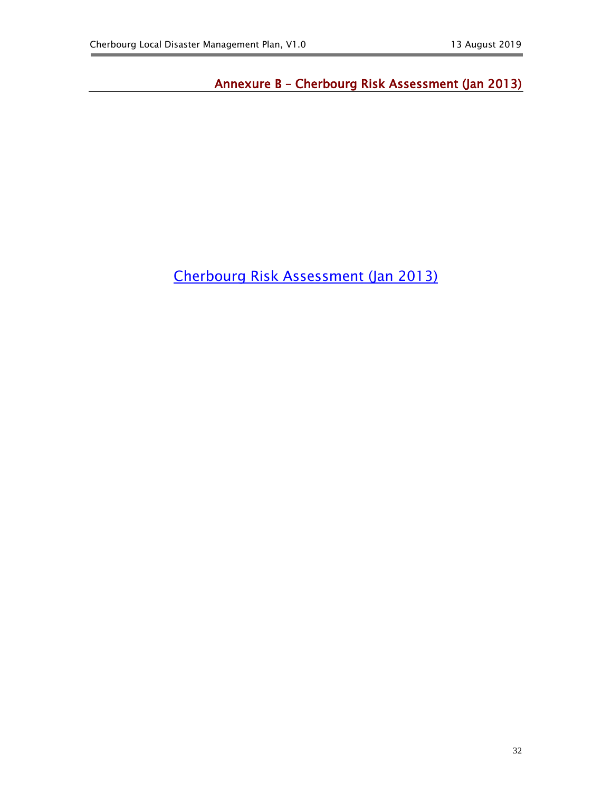<span id="page-31-0"></span>Annexure B – Cherbourg Risk Assessment (Jan 2013)

[Cherbourg Risk Assessment \(Jan 2013\)](file:///D:/Documents%20and%20Settings/jbruynius/Local%20Settings/Temporary%20Internet%20Files/OLK2C/CH%20RISK%20ASSESSMENT%20Master%20Annex%20B.docx)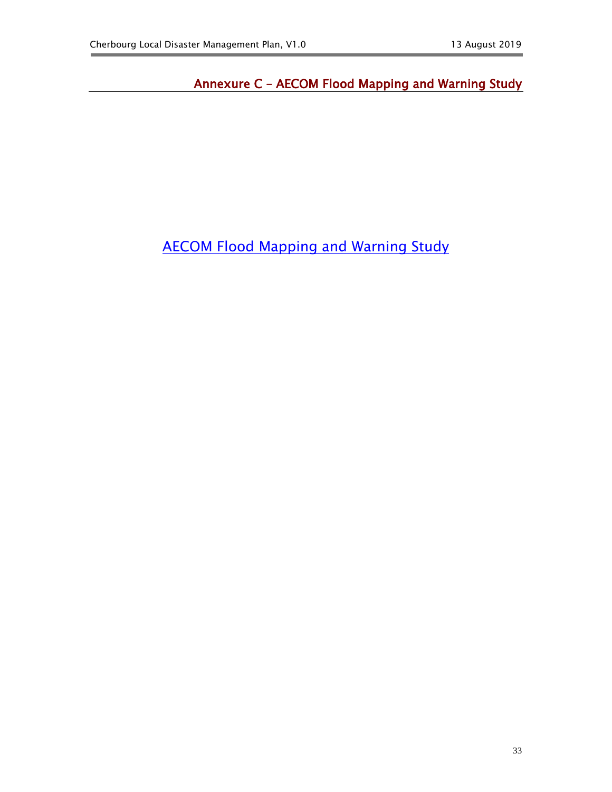<span id="page-32-0"></span>Annexure C – AECOM Flood Mapping and Warning Study

[AECOM Flood Mapping and Warning Study](file:///D:/Documents%20and%20Settings/jbruynius/Local%20Settings/Temporary%20Internet%20Files/OLK2C/AECOM%20Study/Cherbourg%20Flood%20Mapping%20and%20Warning%20System.pdf)